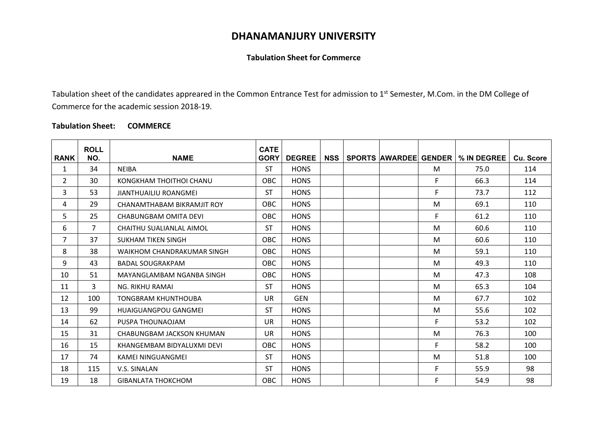## **DHANAMANJURY UNIVERSITY**

## **Tabulation Sheet for Commerce**

Tabulation sheet of the candidates appreared in the Common Entrance Test for admission to 1<sup>st</sup> Semester, M.Com. in the DM College of Commerce for the academic session 2018-19.

## **Tabulation Sheet: COMMERCE**

|                | <b>ROLL</b>    |                              | <b>CATE</b> |               |            |  |    |                                            |           |
|----------------|----------------|------------------------------|-------------|---------------|------------|--|----|--------------------------------------------|-----------|
| <b>RANK</b>    | NO.            | <b>NAME</b>                  | <b>GORY</b> | <b>DEGREE</b> | <b>NSS</b> |  |    | <b>SPORTS AWARDEE GENDER   % IN DEGREE</b> | Cu. Score |
| 1              | 34             | <b>NEIBA</b>                 | <b>ST</b>   | <b>HONS</b>   |            |  | M  | 75.0                                       | 114       |
| $\overline{2}$ | 30             | KONGKHAM THOITHOI CHANU      | <b>OBC</b>  | <b>HONS</b>   |            |  | F. | 66.3                                       | 114       |
| 3              | 53             | <b>JIANTHUAILIU ROANGMEI</b> | <b>ST</b>   | <b>HONS</b>   |            |  | F. | 73.7                                       | 112       |
| 4              | 29             | CHANAMTHABAM BIKRAMJIT ROY   | <b>OBC</b>  | <b>HONS</b>   |            |  | M  | 69.1                                       | 110       |
| 5              | 25             | CHABUNGBAM OMITA DEVI        | OBC         | <b>HONS</b>   |            |  | F. | 61.2                                       | 110       |
| 6              | $\overline{7}$ | CHAITHU SUALIANLAL AIMOL     | <b>ST</b>   | <b>HONS</b>   |            |  | M  | 60.6                                       | 110       |
| $\overline{7}$ | 37             | <b>SUKHAM TIKEN SINGH</b>    | OBC         | <b>HONS</b>   |            |  | M  | 60.6                                       | 110       |
| 8              | 38             | WAIKHOM CHANDRAKUMAR SINGH   | <b>OBC</b>  | <b>HONS</b>   |            |  | M  | 59.1                                       | 110       |
| 9              | 43             | <b>BADAL SOUGRAKPAM</b>      | OBC         | <b>HONS</b>   |            |  | M  | 49.3                                       | 110       |
| 10             | 51             | MAYANGLAMBAM NGANBA SINGH    | OBC         | <b>HONS</b>   |            |  | M  | 47.3                                       | 108       |
| 11             | 3              | NG. RIKHU RAMAI              | <b>ST</b>   | <b>HONS</b>   |            |  | M  | 65.3                                       | 104       |
| 12             | 100            | <b>TONGBRAM KHUNTHOUBA</b>   | <b>UR</b>   | <b>GEN</b>    |            |  | M  | 67.7                                       | 102       |
| 13             | 99             | <b>HUAIGUANGPOU GANGMEI</b>  | <b>ST</b>   | <b>HONS</b>   |            |  | M  | 55.6                                       | 102       |
| 14             | 62             | PUSPA THOUNAOJAM             | <b>UR</b>   | <b>HONS</b>   |            |  | F. | 53.2                                       | 102       |
| 15             | 31             | CHABUNGBAM JACKSON KHUMAN    | <b>UR</b>   | <b>HONS</b>   |            |  | M  | 76.3                                       | 100       |
| 16             | 15             | KHANGEMBAM BIDYALUXMI DEVI   | <b>OBC</b>  | <b>HONS</b>   |            |  | F. | 58.2                                       | 100       |
| 17             | 74             | <b>KAMEI NINGUANGMEI</b>     | <b>ST</b>   | <b>HONS</b>   |            |  | M  | 51.8                                       | 100       |
| 18             | 115            | V.S. SINALAN                 | <b>ST</b>   | <b>HONS</b>   |            |  | F. | 55.9                                       | 98        |
| 19             | 18             | <b>GIBANLATA THOKCHOM</b>    | <b>OBC</b>  | <b>HONS</b>   |            |  | F. | 54.9                                       | 98        |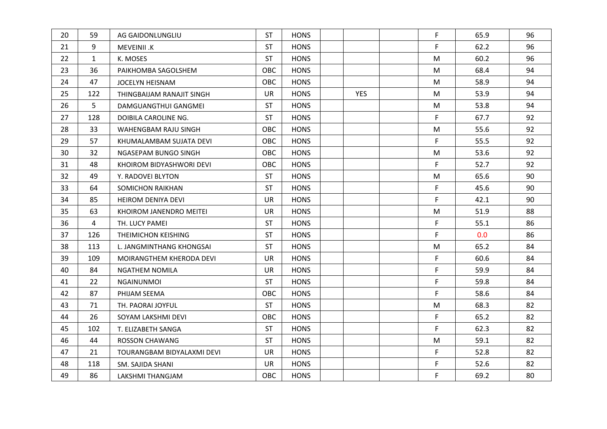| 20 | 59           | AG GAIDONLUNGLIU           | <b>ST</b>  | <b>HONS</b> |            | F  | 65.9 | 96 |  |
|----|--------------|----------------------------|------------|-------------|------------|----|------|----|--|
| 21 | 9            | MEVEINII .K                | <b>ST</b>  | <b>HONS</b> |            | F. | 62.2 | 96 |  |
| 22 | $\mathbf{1}$ | K. MOSES                   | <b>ST</b>  | <b>HONS</b> |            | M  | 60.2 | 96 |  |
| 23 | 36           | PAIKHOMBA SAGOLSHEM        | <b>OBC</b> | <b>HONS</b> |            | M  | 68.4 | 94 |  |
| 24 | 47           | JOCELYN HEISNAM            | <b>OBC</b> | <b>HONS</b> |            | M  | 58.9 | 94 |  |
| 25 | 122          | THINGBAIJAM RANAJIT SINGH  | <b>UR</b>  | <b>HONS</b> | <b>YES</b> | M  | 53.9 | 94 |  |
| 26 | 5            | DAMGUANGTHUI GANGMEI       | <b>ST</b>  | <b>HONS</b> |            | M  | 53.8 | 94 |  |
| 27 | 128          | DOIBILA CAROLINE NG.       | <b>ST</b>  | <b>HONS</b> |            | F. | 67.7 | 92 |  |
| 28 | 33           | WAHENGBAM RAJU SINGH       | OBC        | <b>HONS</b> |            | M  | 55.6 | 92 |  |
| 29 | 57           | KHUMALAMBAM SUJATA DEVI    | <b>OBC</b> | <b>HONS</b> |            | F  | 55.5 | 92 |  |
| 30 | 32           | NGASEPAM BUNGO SINGH       | OBC        | <b>HONS</b> |            | M  | 53.6 | 92 |  |
| 31 | 48           | KHOIROM BIDYASHWORI DEVI   | <b>OBC</b> | <b>HONS</b> |            | F  | 52.7 | 92 |  |
| 32 | 49           | Y. RADOVEI BLYTON          | <b>ST</b>  | <b>HONS</b> |            | M  | 65.6 | 90 |  |
| 33 | 64           | SOMICHON RAIKHAN           | <b>ST</b>  | <b>HONS</b> |            | F  | 45.6 | 90 |  |
| 34 | 85           | <b>HEIROM DENIYA DEVI</b>  | <b>UR</b>  | <b>HONS</b> |            | F  | 42.1 | 90 |  |
| 35 | 63           | KHOIROM JANENDRO MEITEI    | <b>UR</b>  | <b>HONS</b> |            | M  | 51.9 | 88 |  |
| 36 | 4            | TH. LUCY PAMEI             | <b>ST</b>  | <b>HONS</b> |            | F  | 55.1 | 86 |  |
| 37 | 126          | THEIMICHON KEISHING        | <b>ST</b>  | <b>HONS</b> |            | F  | 0.0  | 86 |  |
| 38 | 113          | L. JANGMINTHANG KHONGSAI   | <b>ST</b>  | <b>HONS</b> |            | M  | 65.2 | 84 |  |
| 39 | 109          | MOIRANGTHEM KHERODA DEVI   | <b>UR</b>  | <b>HONS</b> |            | F  | 60.6 | 84 |  |
| 40 | 84           | <b>NGATHEM NOMILA</b>      | <b>UR</b>  | <b>HONS</b> |            | F  | 59.9 | 84 |  |
| 41 | 22           | <b>NGAINUNMOI</b>          | <b>ST</b>  | <b>HONS</b> |            | F  | 59.8 | 84 |  |
| 42 | 87           | PHIJAM SEEMA               | OBC        | <b>HONS</b> |            | F  | 58.6 | 84 |  |
| 43 | 71           | TH. PAORAI JOYFUL          | <b>ST</b>  | <b>HONS</b> |            | M  | 68.3 | 82 |  |
| 44 | 26           | SOYAM LAKSHMI DEVI         | OBC        | <b>HONS</b> |            | F  | 65.2 | 82 |  |
| 45 | 102          | T. ELIZABETH SANGA         | <b>ST</b>  | <b>HONS</b> |            | F  | 62.3 | 82 |  |
| 46 | 44           | <b>ROSSON CHAWANG</b>      | <b>ST</b>  | <b>HONS</b> |            | M  | 59.1 | 82 |  |
| 47 | 21           | TOURANGBAM BIDYALAXMI DEVI | <b>UR</b>  | <b>HONS</b> |            | F  | 52.8 | 82 |  |
| 48 | 118          | SM. SAJIDA SHANI           | <b>UR</b>  | <b>HONS</b> |            | F  | 52.6 | 82 |  |
| 49 | 86           | LAKSHMI THANGJAM           | <b>OBC</b> | <b>HONS</b> |            | F  | 69.2 | 80 |  |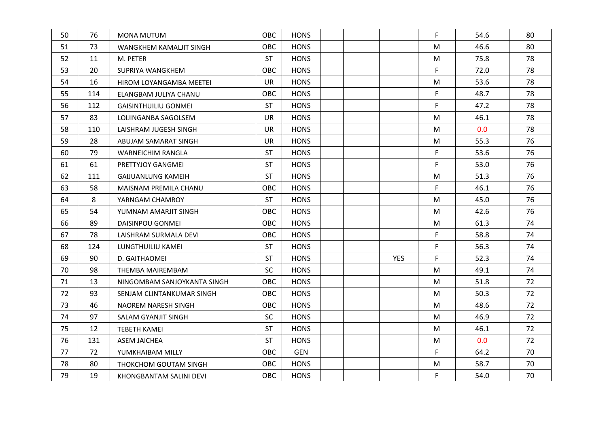| 50 | 76  | MONA MUTUM                     | OBC        | <b>HONS</b> |            | F  | 54.6 | 80 |  |
|----|-----|--------------------------------|------------|-------------|------------|----|------|----|--|
| 51 | 73  | WANGKHEM KAMALJIT SINGH        | <b>OBC</b> | <b>HONS</b> |            | M  | 46.6 | 80 |  |
| 52 | 11  | M. PETER                       | <b>ST</b>  | <b>HONS</b> |            | M  | 75.8 | 78 |  |
| 53 | 20  | SUPRIYA WANGKHEM               | <b>OBC</b> | <b>HONS</b> |            | F. | 72.0 | 78 |  |
| 54 | 16  | <b>HIROM LOYANGAMBA MEETEI</b> | <b>UR</b>  | <b>HONS</b> |            | M  | 53.6 | 78 |  |
| 55 | 114 | ELANGBAM JULIYA CHANU          | <b>OBC</b> | <b>HONS</b> |            | F  | 48.7 | 78 |  |
| 56 | 112 | <b>GAISINTHUILIU GONMEI</b>    | <b>ST</b>  | <b>HONS</b> |            | F  | 47.2 | 78 |  |
| 57 | 83  | LOIJINGANBA SAGOLSEM           | <b>UR</b>  | <b>HONS</b> |            | M  | 46.1 | 78 |  |
| 58 | 110 | LAISHRAM JUGESH SINGH          | <b>UR</b>  | <b>HONS</b> |            | M  | 0.0  | 78 |  |
| 59 | 28  | ABUJAM SAMARAT SINGH           | <b>UR</b>  | <b>HONS</b> |            | M  | 55.3 | 76 |  |
| 60 | 79  | <b>WARNEICHIM RANGLA</b>       | <b>ST</b>  | <b>HONS</b> |            | F  | 53.6 | 76 |  |
| 61 | 61  | PRETTYJOY GANGMEI              | <b>ST</b>  | <b>HONS</b> |            | F  | 53.0 | 76 |  |
| 62 | 111 | GAIJUANLUNG KAMEIH             | <b>ST</b>  | <b>HONS</b> |            | M  | 51.3 | 76 |  |
| 63 | 58  | MAISNAM PREMILA CHANU          | <b>OBC</b> | <b>HONS</b> |            | F  | 46.1 | 76 |  |
| 64 | 8   | YARNGAM CHAMROY                | <b>ST</b>  | <b>HONS</b> |            | M  | 45.0 | 76 |  |
| 65 | 54  | YUMNAM AMARJIT SINGH           | <b>OBC</b> | <b>HONS</b> |            | M  | 42.6 | 76 |  |
| 66 | 89  | <b>DAISINPOU GONMEI</b>        | <b>OBC</b> | <b>HONS</b> |            | M  | 61.3 | 74 |  |
| 67 | 78  | LAISHRAM SURMALA DEVI          | <b>OBC</b> | <b>HONS</b> |            | F  | 58.8 | 74 |  |
| 68 | 124 | LUNGTHUILIU KAMEI              | <b>ST</b>  | <b>HONS</b> |            | F  | 56.3 | 74 |  |
| 69 | 90  | D. GAITHAOMEI                  | <b>ST</b>  | <b>HONS</b> | <b>YES</b> | F  | 52.3 | 74 |  |
| 70 | 98  | THEMBA MAIREMBAM               | <b>SC</b>  | <b>HONS</b> |            | M  | 49.1 | 74 |  |
| 71 | 13  | NINGOMBAM SANJOYKANTA SINGH    | <b>OBC</b> | <b>HONS</b> |            | M  | 51.8 | 72 |  |
| 72 | 93  | SENJAM CLINTANKUMAR SINGH      | <b>OBC</b> | <b>HONS</b> |            | M  | 50.3 | 72 |  |
| 73 | 46  | NAOREM NARESH SINGH            | <b>OBC</b> | <b>HONS</b> |            | M  | 48.6 | 72 |  |
| 74 | 97  | SALAM GYANJIT SINGH            | SC         | <b>HONS</b> |            | M  | 46.9 | 72 |  |
| 75 | 12  | <b>TEBETH KAMEI</b>            | <b>ST</b>  | <b>HONS</b> |            | M  | 46.1 | 72 |  |
| 76 | 131 | <b>ASEM JAICHEA</b>            | <b>ST</b>  | <b>HONS</b> |            | M  | 0.0  | 72 |  |
| 77 | 72  | YUMKHAIBAM MILLY               | <b>OBC</b> | GEN         |            | F  | 64.2 | 70 |  |
| 78 | 80  | THOKCHOM GOUTAM SINGH          | OBC        | <b>HONS</b> |            | M  | 58.7 | 70 |  |
| 79 | 19  | KHONGBANTAM SALINI DEVI        | OBC        | <b>HONS</b> |            | F  | 54.0 | 70 |  |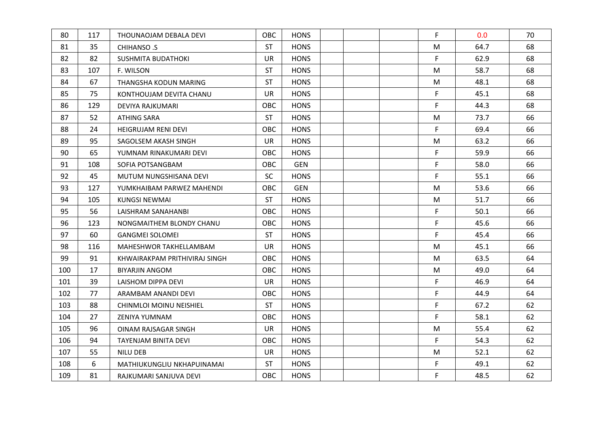| 80  | 117 | THOUNAOJAM DEBALA DEVI         | <b>OBC</b> | <b>HONS</b> |  | F  | 0.0  | 70 |  |
|-----|-----|--------------------------------|------------|-------------|--|----|------|----|--|
| 81  | 35  | CHIHANSO .S                    | <b>ST</b>  | <b>HONS</b> |  | M  | 64.7 | 68 |  |
| 82  | 82  | <b>SUSHMITA BUDATHOKI</b>      | <b>UR</b>  | <b>HONS</b> |  | F  | 62.9 | 68 |  |
| 83  | 107 | F. WILSON                      | <b>ST</b>  | <b>HONS</b> |  | M  | 58.7 | 68 |  |
| 84  | 67  | THANGSHA KODUN MARING          | <b>ST</b>  | <b>HONS</b> |  | M  | 48.1 | 68 |  |
| 85  | 75  | KONTHOUJAM DEVITA CHANU        | <b>UR</b>  | <b>HONS</b> |  | F  | 45.1 | 68 |  |
| 86  | 129 | <b>DEVIYA RAJKUMARI</b>        | OBC        | <b>HONS</b> |  | F  | 44.3 | 68 |  |
| 87  | 52  | <b>ATHING SARA</b>             | <b>ST</b>  | <b>HONS</b> |  | M  | 73.7 | 66 |  |
| 88  | 24  | <b>HEIGRUJAM RENI DEVI</b>     | OBC        | <b>HONS</b> |  | F  | 69.4 | 66 |  |
| 89  | 95  | SAGOLSEM AKASH SINGH           | <b>UR</b>  | <b>HONS</b> |  | M  | 63.2 | 66 |  |
| 90  | 65  | YUMNAM RINAKUMARI DEVI         | OBC        | <b>HONS</b> |  | F  | 59.9 | 66 |  |
| 91  | 108 | SOFIA POTSANGBAM               | <b>OBC</b> | <b>GEN</b>  |  | F. | 58.0 | 66 |  |
| 92  | 45  | MUTUM NUNGSHISANA DEVI         | <b>SC</b>  | <b>HONS</b> |  | F  | 55.1 | 66 |  |
| 93  | 127 | YUMKHAIBAM PARWEZ MAHENDI      | <b>OBC</b> | <b>GEN</b>  |  | M  | 53.6 | 66 |  |
| 94  | 105 | KUNGSI NEWMAI                  | <b>ST</b>  | <b>HONS</b> |  | M  | 51.7 | 66 |  |
| 95  | 56  | LAISHRAM SANAHANBI             | <b>OBC</b> | <b>HONS</b> |  | F  | 50.1 | 66 |  |
| 96  | 123 | NONGMAITHEM BLONDY CHANU       | <b>OBC</b> | <b>HONS</b> |  | F  | 45.6 | 66 |  |
| 97  | 60  | <b>GANGMEI SOLOMEI</b>         | <b>ST</b>  | <b>HONS</b> |  | F  | 45.4 | 66 |  |
| 98  | 116 | MAHESHWOR TAKHELLAMBAM         | <b>UR</b>  | <b>HONS</b> |  | M  | 45.1 | 66 |  |
| 99  | 91  | KHWAIRAKPAM PRITHIVIRAJ SINGH  | <b>OBC</b> | <b>HONS</b> |  | M  | 63.5 | 64 |  |
| 100 | 17  | <b>BIYARJIN ANGOM</b>          | <b>OBC</b> | <b>HONS</b> |  | M  | 49.0 | 64 |  |
| 101 | 39  | LAISHOM DIPPA DEVI             | <b>UR</b>  | <b>HONS</b> |  | F  | 46.9 | 64 |  |
| 102 | 77  | ARAMBAM ANANDI DEVI            | OBC        | <b>HONS</b> |  | F  | 44.9 | 64 |  |
| 103 | 88  | <b>CHINMLOI MOINU NEISHIEL</b> | <b>ST</b>  | <b>HONS</b> |  | F  | 67.2 | 62 |  |
| 104 | 27  | ZENIYA YUMNAM                  | OBC        | <b>HONS</b> |  | F  | 58.1 | 62 |  |
| 105 | 96  | OINAM RAJSAGAR SINGH           | <b>UR</b>  | <b>HONS</b> |  | M  | 55.4 | 62 |  |
| 106 | 94  | TAYENJAM BINITA DEVI           | OBC        | <b>HONS</b> |  | F  | 54.3 | 62 |  |
| 107 | 55  | <b>NILU DEB</b>                | <b>UR</b>  | <b>HONS</b> |  | M  | 52.1 | 62 |  |
| 108 | 6   | MATHIUKUNGLIU NKHAPUINAMAI     | <b>ST</b>  | <b>HONS</b> |  | F  | 49.1 | 62 |  |
| 109 | 81  | RAJKUMARI SANJUVA DEVI         | <b>OBC</b> | <b>HONS</b> |  | F  | 48.5 | 62 |  |